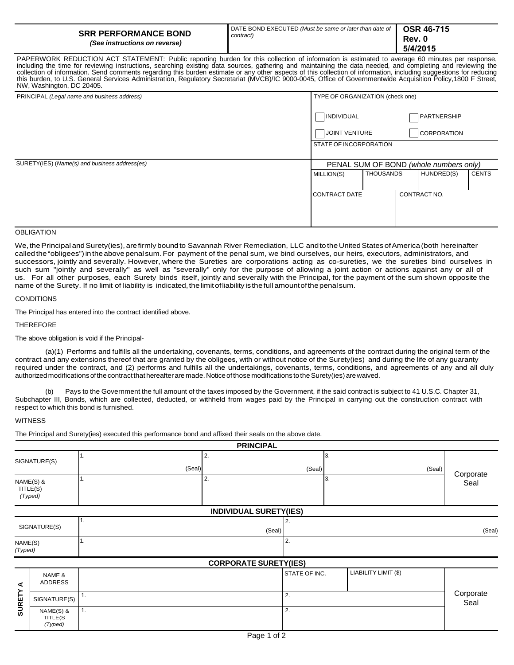| <b>SRR PERFORMANCE BOND</b><br>(See instructions on reverse) | DATE BOND EXECUTED (Must be same or later than date of<br>contract) | <b>OSR 46-715</b><br>Rev. 0<br>5/4/2015 |
|--------------------------------------------------------------|---------------------------------------------------------------------|-----------------------------------------|
|--------------------------------------------------------------|---------------------------------------------------------------------|-----------------------------------------|

PAPERWORK REDUCTION ACT STATEMENT: Public reporting burden for this collection of information is estimated to average 60 minutes per response, including the time for reviewing instructions, searching existing data sources, gathering and maintaining the data needed, and completing and reviewing the collection of information. Send comments regarding this burden estimate or any other aspects of this collection of information, including suggestions for reducing<br>this burden, to U.S. General Services Administration, Regul NW, Washington, DC 20405.

| PRINCIPAL (Legal name and business address)   | TYPE OF ORGANIZATION (check one) |                                        |  |                    |              |
|-----------------------------------------------|----------------------------------|----------------------------------------|--|--------------------|--------------|
|                                               | INDIVIDUAL                       |                                        |  | PARTNERSHIP        |              |
|                                               | JOINT VENTURE                    |                                        |  | <b>CORPORATION</b> |              |
|                                               | STATE OF INCORPORATION           |                                        |  |                    |              |
| SURETY(IES) (Name(s) and business address(es) |                                  | PENAL SUM OF BOND (whole numbers only) |  |                    |              |
|                                               |                                  |                                        |  |                    |              |
|                                               | MILLION(S)                       | <b>THOUSANDS</b>                       |  | HUNDRED(S)         | <b>CENTS</b> |
|                                               | <b>CONTRACT DATE</b>             |                                        |  | CONTRACT NO.       |              |

### OBLIGATION

We, the Principal and Surety(ies), are firmly bound to Savannah River Remediation, LLC and to the United States of America (both hereinafter called the "obligees") intheabovepenalsum.For payment of the penal sum, we bind ourselves, our heirs, executors, administrators, and successors, jointly and severally. However, where the Sureties are corporations acting as co-sureties, we the sureties bind ourselves in such sum "jointly and severally" as well as "severally" only for the purpose of allowing a joint action or actions against any or all of us. For all other purposes, each Surety binds itself, jointly and severally with the Principal, for the payment of the sum shown opposite the name of the Surety. If no limit of liability is indicated, the limit of liability is the full amount of the penalsum.

## **CONDITIONS**

The Principal has entered into the contract identified above.

#### THEREFORE

The above obligation is void if the Principal-

(a)(1) Performs and fulfills all the undertaking, covenants, terms, conditions, and agreements of the contract during the original term of the contract and any extensions thereof that are granted by the obligees, with or without notice of the Surety(ies) and during the life of any guaranty required under the contract, and (2) performs and fulfills all the undertakings, covenants, terms, conditions, and agreements of any and all duly authorized modifications of the contract that hereafter are made. Notice of those modifications to the Surety(ies) are waived.

(b) Pays to the Government the full amount of the taxes imposed by the Government, if the said contract is subject to 41 U.S.C. Chapter 31, Subchapter III, Bonds, which are collected, deducted, or withheld from wages paid by the Principal in carrying out the construction contract with respect to which this bond is furnished.

#### WITNESS

The Principal and Surety(ies) executed this performance bond and affixed their seals on the above date.

|                    |                                  |              | <b>PRINCIPAL</b>              |               |                      |                   |
|--------------------|----------------------------------|--------------|-------------------------------|---------------|----------------------|-------------------|
|                    | SIGNATURE(S)                     | 1.<br>(Seal) | 2.                            | (Seal)        | 3.<br>(Seal)         |                   |
|                    | NAME(S) &<br>TITLE(S)<br>(Typed) | 1.           | 2.                            |               | 3.                   | Corporate<br>Seal |
|                    |                                  |              | <b>INDIVIDUAL SURETY(IES)</b> |               |                      |                   |
|                    | SIGNATURE(S)                     | 1.           | (Seal)                        | 2.            |                      | (Seal)            |
| NAME(S)<br>(Typed) |                                  | 1.           |                               | 2.            |                      |                   |
|                    |                                  |              | <b>CORPORATE SURETY(IES)</b>  |               |                      |                   |
| ⋖<br><b>SURETY</b> | NAME &<br><b>ADDRESS</b>         |              |                               | STATE OF INC. | LIABILITY LIMIT (\$) |                   |
|                    | SIGNATURE(S)                     | 1.           |                               | 2.            |                      | Corporate<br>Seal |
|                    | NAME(S) &<br>TITLE(S<br>(Typed)  | 1.           |                               | 2.            |                      |                   |